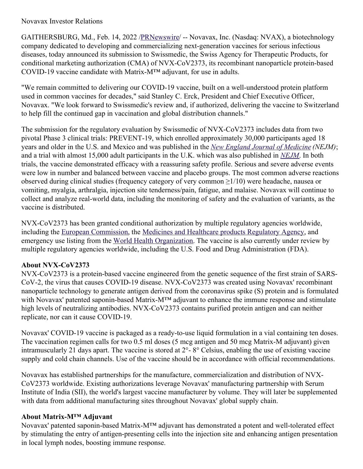## Novavax Investor Relations

GAITHERSBURG, Md., Feb. 14, 2022 [/PRNewswire](http://www.prnewswire.com/)/ -- Novavax, Inc. (Nasdaq: NVAX), a biotechnology company dedicated to developing and commercializing next-generation vaccines for serious infectious diseases, today announced its submission to Swissmedic, the Swiss Agency for Therapeutic Products, for conditional marketing authorization (CMA) of NVX-CoV2373, its recombinant nanoparticle protein-based COVID-19 vaccine candidate with Matrix-M™ adjuvant, for use in adults.

"We remain committed to delivering our COVID-19 vaccine, built on a well-understood protein platform used in common vaccines for decades," said Stanley C. Erck, President and Chief Executive Officer, Novavax. "We look forward to Swissmedic's review and, if authorized, delivering the vaccine to Switzerland to help fill the continued gap in vaccination and global distribution channels."

The submission for the regulatory evaluation by Swissmedic of NVX-CoV2373 includes data from two pivotal Phase 3 clinical trials: PREVENT-19, which enrolled approximately 30,000 participants aged 18 years and older in the U.S. and Mexico and was published in the *New England Journal of [Medicine](https://c212.net/c/link/?t=0&l=en&o=3442797-1&h=1139377640&u=https%3A%2F%2Fc212.net%2Fc%2Flink%2F%3Ft%3D0%26l%3Den%26o%3D3407775-1%26h%3D907997649%26u%3Dhttps%253A%252F%252Fwww.nejm.org%252Fdoi%252Ffull%252F10.1056%252FNEJMoa2116185%253Fquery%253Dfeatured_home%26a%3DNew%2BEngland%2BJournal%2Bof%2BMedicine&a=New+England+Journal+of+Medicine) (NEJM)*; and a trial with almost 15,000 adult participants in the U.K. which was also published in *[NEJM](https://c212.net/c/link/?t=0&l=en&o=3442797-1&h=2604094360&u=https%3A%2F%2Fc212.net%2Fc%2Flink%2F%3Ft%3D0%26l%3Den%26o%3D3407775-1%26h%3D4200925079%26u%3Dhttps%253A%252F%252Fwww.nejm.org%252Fdoi%252Ffull%252F10.1056%252FNEJMoa2107659%26a%3DNEJM&a=NEJM)*. In both trials, the vaccine demonstrated efficacy with a reassuring safety profile. Serious and severe adverse events were low in number and balanced between vaccine and placebo groups. The most common adverse reactions observed during clinical studies (frequency category of very common  $\geq 1/10$ ) were headache, nausea or vomiting, myalgia, arthralgia, injection site tenderness/pain, fatigue, and malaise. Novavax will continue to collect and analyze real-world data, including the monitoring of safety and the evaluation of variants, as the vaccine is distributed.

NVX-CoV2373 has been granted conditional authorization by multiple regulatory agencies worldwide, including the European [Commission](https://c212.net/c/link/?t=0&l=en&o=3442797-1&h=2890659729&u=https%3A%2F%2Fir.novavax.com%2F2021-12-20-European-Commission-Grants-Conditional-Marketing-Authorization-for-Novavax-COVID-19-Vaccine&a=European+Commission), the Medicines and Healthcare products [Regulatory](https://c212.net/c/link/?t=0&l=en&o=3442797-1&h=52708723&u=https%3A%2F%2Fir.novavax.com%2F2022-02-03-Medicines-and-Healthcare-Products-Regulatory-Agency-Grants-Conditional-Marketing-Authorization-for-Novavax-COVID-19-Vaccine-in-Great-Britain&a=Medicines+and+Healthcare+products+Regulatory+Agency) Agency, and emergency use listing from the World Health [Organization](https://c212.net/c/link/?t=0&l=en&o=3442797-1&h=503059948&u=https%3A%2F%2Fc212.net%2Fc%2Flink%2F%3Ft%3D0%26l%3Den%26o%3D3428978-1%26h%3D1252681756%26u%3Dhttps%253A%252F%252Fir.novavax.com%252F2021-12-20-World-Health-Organization-Grants-Second-Emergency-Use-Listing-for-Novavax-COVID-19-Vaccine%26a%3DWorld%2BHealth%2BOrganization&a=World+Health+Organization). The vaccine is also currently under review by multiple regulatory agencies worldwide, including the U.S. Food and Drug Administration (FDA).

# **About NVX-CoV2373**

NVX-CoV2373 is a protein-based vaccine engineered from the genetic sequence of the first strain of SARS-CoV-2, the virus that causes COVID-19 disease. NVX-CoV2373 was created using Novavax' recombinant nanoparticle technology to generate antigen derived from the coronavirus spike (S) protein and is formulated with Novavax' patented saponin-based Matrix-M™ adjuvant to enhance the immune response and stimulate high levels of neutralizing antibodies. NVX-CoV2373 contains purified protein antigen and can neither replicate, nor can it cause COVID-19.

Novavax' COVID-19 vaccine is packaged as a ready-to-use liquid formulation in a vial containing ten doses. The vaccination regimen calls for two 0.5 ml doses (5 mcg antigen and 50 mcg Matrix-M adjuvant) given intramuscularly 21 days apart. The vaccine is stored at 2°- 8° Celsius, enabling the use of existing vaccine supply and cold chain channels. Use of the vaccine should be in accordance with official recommendations.

Novavax has established partnerships for the manufacture, commercialization and distribution of NVX-CoV2373 worldwide. Existing authorizations leverage Novavax' manufacturing partnership with Serum Institute of India (SII), the world's largest vaccine manufacturer by volume. They will later be supplemented with data from additional manufacturing sites throughout Novavax' global supply chain.

### **About Matrix-M™ Adjuvant**

Novavax' patented saponin-based Matrix-M™ adjuvant has demonstrated a potent and well-tolerated effect by stimulating the entry of antigen-presenting cells into the injection site and enhancing antigen presentation in local lymph nodes, boosting immune response.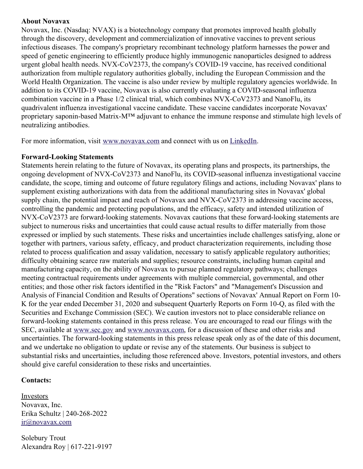### **About Novavax**

Novavax, Inc. (Nasdaq: NVAX) is a biotechnology company that promotes improved health globally through the discovery, development and commercialization of innovative vaccines to prevent serious infectious diseases. The company's proprietary recombinant technology platform harnesses the power and speed of genetic engineering to efficiently produce highly immunogenic nanoparticles designed to address urgent global health needs. NVX-CoV2373, the company's COVID-19 vaccine, has received conditional authorization from multiple regulatory authorities globally, including the European Commission and the World Health Organization. The vaccine is also under review by multiple regulatory agencies worldwide. In addition to its COVID-19 vaccine, Novavax is also currently evaluating a COVID-seasonal influenza combination vaccine in a Phase 1/2 clinical trial, which combines NVX-CoV2373 and NanoFlu, its quadrivalent influenza investigational vaccine candidate. These vaccine candidates incorporate Novavax' proprietary saponin-based Matrix-M™ adjuvant to enhance the immune response and stimulate high levels of neutralizing antibodies.

For more information, visit [www.novavax.com](https://c212.net/c/link/?t=0&l=en&o=3442797-1&h=2117118073&u=https%3A%2F%2Fc212.net%2Fc%2Flink%2F%3Ft%3D0%26l%3Den%26o%3D3395501-1%26h%3D2463599076%26u%3Dhttps%253A%252F%252Fc212.net%252Fc%252Flink%252F%253Ft%253D0%2526l%253Den%2526o%253D3392093-1%2526h%253D203886192%2526u%253Dhttps%25253A%25252F%25252Fc212.net%25252Fc%25252Flink%25252F%25253Ft%25253D0%252526l%25253Den%252526o%25253D3387216-1%252526h%25253D3917401194%252526u%25253Dhttps%2525253A%2525252F%2525252Fc212.net%2525252Fc%2525252Flink%2525252F%2525253Ft%2525253D0%25252526l%2525253Den%25252526o%2525253D3260461-1%25252526h%2525253D2897486098%25252526u%2525253Dhttp%252525253A%252525252F%252525252Fwww.novavax.com%252525252F%25252526a%2525253Dwww.novavax.com%252526a%25253Dwww.novavax.com%2526a%253Dwww.novavax.com%26a%3Dwww.novavax.com&a=www.novavax.com) and connect with us on [LinkedIn](https://c212.net/c/link/?t=0&l=en&o=3442797-1&h=815071430&u=https%3A%2F%2Fc212.net%2Fc%2Flink%2F%3Ft%3D0%26l%3Den%26o%3D3395501-1%26h%3D853375093%26u%3Dhttps%253A%252F%252Fc212.net%252Fc%252Flink%252F%253Ft%253D0%2526l%253Den%2526o%253D3392093-1%2526h%253D1325598136%2526u%253Dhttps%25253A%25252F%25252Fc212.net%25252Fc%25252Flink%25252F%25253Ft%25253D0%252526l%25253Den%252526o%25253D3387216-1%252526h%25253D2935962557%252526u%25253Dhttps%2525253A%2525252F%2525252Fc212.net%2525252Fc%2525252Flink%2525252F%2525253Ft%2525253D0%25252526l%2525253Den%25252526o%2525253D3260461-1%25252526h%2525253D1508558197%25252526u%2525253Dhttps%252525253A%252525252F%252525252Fc212.net%252525252Fc%252525252Flink%252525252F%252525253Ft%252525253D0%2525252526l%252525253Den%2525252526o%252525253D3158017-1%2525252526h%252525253D3702938248%2525252526u%252525253Dhttps%25252525253A%25252525252F%25252525252Fwww.linkedin.com%25252525252Fcompany%25252525252Fnovavax%25252525252F%2525252526a%252525253DLinkedIn%25252526a%2525253DLinkedIn%252526a%25253DLinkedIn%2526a%253DLinkedIn%26a%3DLinkedIn&a=LinkedIn).

## **Forward-Looking Statements**

Statements herein relating to the future of Novavax, its operating plans and prospects, its partnerships, the ongoing development of NVX-CoV2373 and NanoFlu, its COVID-seasonal influenza investigational vaccine candidate, the scope, timing and outcome of future regulatory filings and actions, including Novavax' plans to supplement existing authorizations with data from the additional manufacturing sites in Novavax' global supply chain, the potential impact and reach of Novavax and NVX-CoV2373 in addressing vaccine access, controlling the pandemic and protecting populations, and the efficacy, safety and intended utilization of NVX-CoV2373 are forward-looking statements. Novavax cautions that these forward-looking statements are subject to numerous risks and uncertainties that could cause actual results to differ materially from those expressed or implied by such statements. These risks and uncertainties include challenges satisfying, alone or together with partners, various safety, efficacy, and product characterization requirements, including those related to process qualification and assay validation, necessary to satisfy applicable regulatory authorities; difficulty obtaining scarce raw materials and supplies; resource constraints, including human capital and manufacturing capacity, on the ability of Novavax to pursue planned regulatory pathways; challenges meeting contractual requirements under agreements with multiple commercial, governmental, and other entities; and those other risk factors identified in the "Risk Factors" and "Management's Discussion and Analysis of Financial Condition and Results of Operations" sections of Novavax' Annual Report on Form 10- K for the year ended December 31, 2020 and subsequent Quarterly Reports on Form 10-Q, as filed with the Securities and Exchange Commission (SEC). We caution investors not to place considerable reliance on forward-looking statements contained in this press release. You are encouraged to read our filings with the SEC, available at [www.sec.gov](https://c212.net/c/link/?t=0&l=en&o=3442797-1&h=2484885670&u=http%3A%2F%2Fwww.sec.gov%2F&a=www.sec.gov) and [www.novavax.com](https://c212.net/c/link/?t=0&l=en&o=3442797-1&h=2435187766&u=http%3A%2F%2Fwww.novavax.com%2F&a=www.novavax.com), for a discussion of these and other risks and uncertainties. The forward-looking statements in this press release speak only as of the date of this document, and we undertake no obligation to update or revise any of the statements. Our business is subject to substantial risks and uncertainties, including those referenced above. Investors, potential investors, and others should give careful consideration to these risks and uncertainties.

# **Contacts:**

Investors Novavax, Inc. Erika Schultz | 240-268-2022 [ir@novavax.com](mailto:ir@novavax.com)

Solebury Trout Alexandra Roy | 617-221-9197